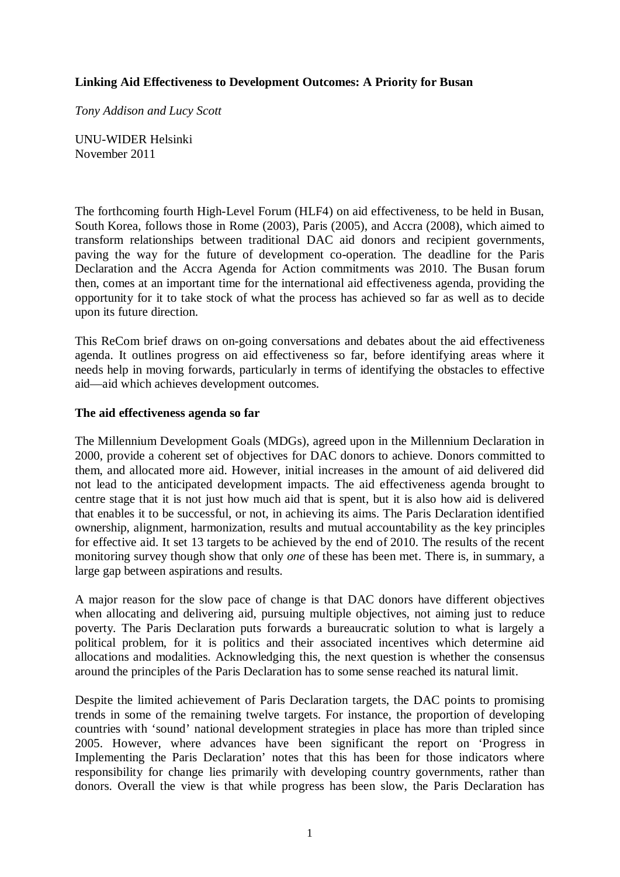## **Linking Aid Effectiveness to Development Outcomes: A Priority for Busan**

*Tony Addison and Lucy Scott* 

UNU-WIDER Helsinki November 2011

The forthcoming fourth High-Level Forum (HLF4) on aid effectiveness, to be held in Busan, South Korea, follows those in Rome (2003), Paris (2005), and Accra (2008), which aimed to transform relationships between traditional DAC aid donors and recipient governments, paving the way for the future of development co-operation. The deadline for the Paris Declaration and the Accra Agenda for Action commitments was 2010. The Busan forum then, comes at an important time for the international aid effectiveness agenda, providing the opportunity for it to take stock of what the process has achieved so far as well as to decide upon its future direction.

This ReCom brief draws on on-going conversations and debates about the aid effectiveness agenda. It outlines progress on aid effectiveness so far, before identifying areas where it needs help in moving forwards, particularly in terms of identifying the obstacles to effective aid—aid which achieves development outcomes.

### **The aid effectiveness agenda so far**

The Millennium Development Goals (MDGs), agreed upon in the Millennium Declaration in 2000, provide a coherent set of objectives for DAC donors to achieve. Donors committed to them, and allocated more aid. However, initial increases in the amount of aid delivered did not lead to the anticipated development impacts. The aid effectiveness agenda brought to centre stage that it is not just how much aid that is spent, but it is also how aid is delivered that enables it to be successful, or not, in achieving its aims. The Paris Declaration identified ownership, alignment, harmonization, results and mutual accountability as the key principles for effective aid. It set 13 targets to be achieved by the end of 2010. The results of the recent monitoring survey though show that only *one* of these has been met. There is, in summary, a large gap between aspirations and results.

A major reason for the slow pace of change is that DAC donors have different objectives when allocating and delivering aid, pursuing multiple objectives, not aiming just to reduce poverty. The Paris Declaration puts forwards a bureaucratic solution to what is largely a political problem, for it is politics and their associated incentives which determine aid allocations and modalities. Acknowledging this, the next question is whether the consensus around the principles of the Paris Declaration has to some sense reached its natural limit.

Despite the limited achievement of Paris Declaration targets, the DAC points to promising trends in some of the remaining twelve targets. For instance, the proportion of developing countries with 'sound' national development strategies in place has more than tripled since 2005. However, where advances have been significant the report on 'Progress in Implementing the Paris Declaration' notes that this has been for those indicators where responsibility for change lies primarily with developing country governments, rather than donors. Overall the view is that while progress has been slow, the Paris Declaration has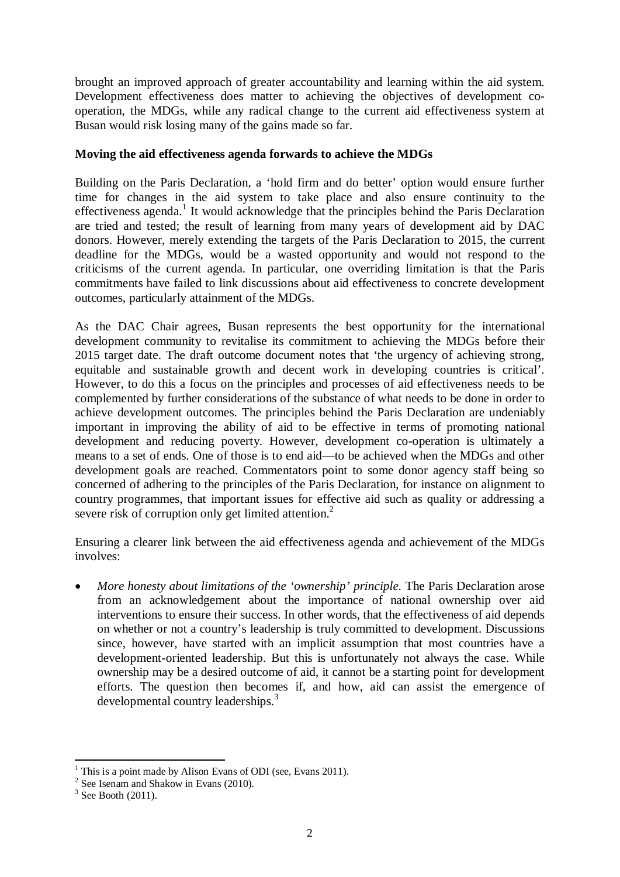brought an improved approach of greater accountability and learning within the aid system. Development effectiveness does matter to achieving the objectives of development cooperation, the MDGs, while any radical change to the current aid effectiveness system at Busan would risk losing many of the gains made so far.

# **Moving the aid effectiveness agenda forwards to achieve the MDGs**

Building on the Paris Declaration, a 'hold firm and do better' option would ensure further time for changes in the aid system to take place and also ensure continuity to the effectiveness agenda.<sup>1</sup> It would acknowledge that the principles behind the Paris Declaration are tried and tested; the result of learning from many years of development aid by DAC donors. However, merely extending the targets of the Paris Declaration to 2015, the current deadline for the MDGs, would be a wasted opportunity and would not respond to the criticisms of the current agenda. In particular, one overriding limitation is that the Paris commitments have failed to link discussions about aid effectiveness to concrete development outcomes, particularly attainment of the MDGs.

As the DAC Chair agrees, Busan represents the best opportunity for the international development community to revitalise its commitment to achieving the MDGs before their 2015 target date. The draft outcome document notes that 'the urgency of achieving strong, equitable and sustainable growth and decent work in developing countries is critical'. However, to do this a focus on the principles and processes of aid effectiveness needs to be complemented by further considerations of the substance of what needs to be done in order to achieve development outcomes. The principles behind the Paris Declaration are undeniably important in improving the ability of aid to be effective in terms of promoting national development and reducing poverty. However, development co-operation is ultimately a means to a set of ends. One of those is to end aid—to be achieved when the MDGs and other development goals are reached. Commentators point to some donor agency staff being so concerned of adhering to the principles of the Paris Declaration, for instance on alignment to country programmes, that important issues for effective aid such as quality or addressing a severe risk of corruption only get limited attention.<sup>2</sup>

Ensuring a clearer link between the aid effectiveness agenda and achievement of the MDGs involves:

• *More honesty about limitations of the 'ownership' principle.* The Paris Declaration arose from an acknowledgement about the importance of national ownership over aid interventions to ensure their success. In other words, that the effectiveness of aid depends on whether or not a country's leadership is truly committed to development. Discussions since, however, have started with an implicit assumption that most countries have a development-oriented leadership. But this is unfortunately not always the case. While ownership may be a desired outcome of aid, it cannot be a starting point for development efforts. The question then becomes if, and how, aid can assist the emergence of developmental country leaderships.<sup>3</sup>

<sup>1</sup> This is a point made by Alison Evans of ODI (see, Evans 2011).

<sup>2</sup> See Isenam and Shakow in Evans (2010).

 $3$  See Booth (2011).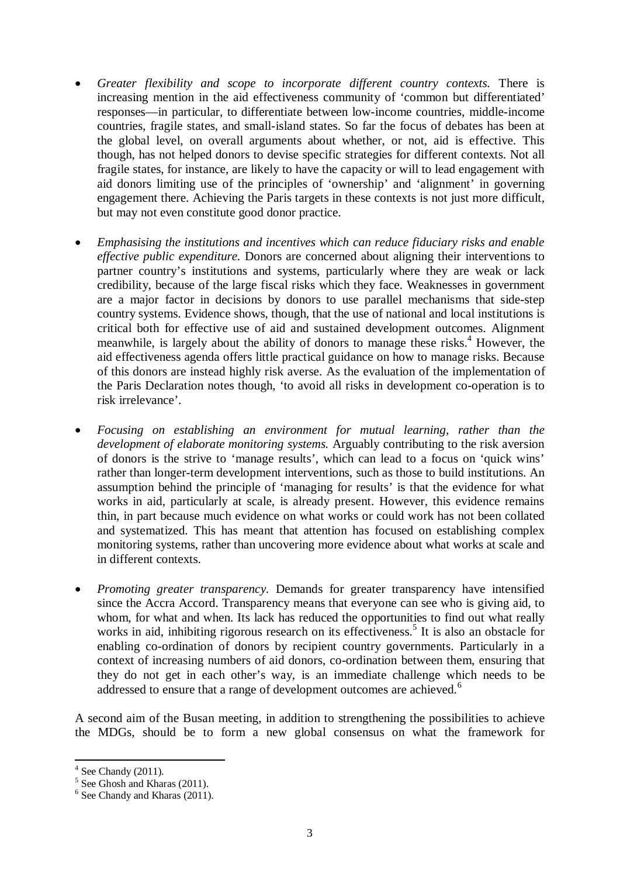- *Greater flexibility and scope to incorporate different country contexts.* There is increasing mention in the aid effectiveness community of 'common but differentiated' responses—in particular, to differentiate between low-income countries, middle-income countries, fragile states, and small-island states. So far the focus of debates has been at the global level, on overall arguments about whether, or not, aid is effective. This though, has not helped donors to devise specific strategies for different contexts. Not all fragile states, for instance, are likely to have the capacity or will to lead engagement with aid donors limiting use of the principles of 'ownership' and 'alignment' in governing engagement there. Achieving the Paris targets in these contexts is not just more difficult, but may not even constitute good donor practice.
- *Emphasising the institutions and incentives which can reduce fiduciary risks and enable effective public expenditure.* Donors are concerned about aligning their interventions to partner country's institutions and systems, particularly where they are weak or lack credibility, because of the large fiscal risks which they face. Weaknesses in government are a major factor in decisions by donors to use parallel mechanisms that side-step country systems. Evidence shows, though, that the use of national and local institutions is critical both for effective use of aid and sustained development outcomes. Alignment meanwhile, is largely about the ability of donors to manage these risks.<sup>4</sup> However, the aid effectiveness agenda offers little practical guidance on how to manage risks. Because of this donors are instead highly risk averse. As the evaluation of the implementation of the Paris Declaration notes though, 'to avoid all risks in development co-operation is to risk irrelevance'.
- *Focusing on establishing an environment for mutual learning, rather than the development of elaborate monitoring systems.* Arguably contributing to the risk aversion of donors is the strive to 'manage results', which can lead to a focus on 'quick wins' rather than longer-term development interventions, such as those to build institutions. An assumption behind the principle of 'managing for results' is that the evidence for what works in aid, particularly at scale, is already present. However, this evidence remains thin, in part because much evidence on what works or could work has not been collated and systematized. This has meant that attention has focused on establishing complex monitoring systems, rather than uncovering more evidence about what works at scale and in different contexts.
- *Promoting greater transparency.* Demands for greater transparency have intensified since the Accra Accord. Transparency means that everyone can see who is giving aid, to whom, for what and when. Its lack has reduced the opportunities to find out what really works in aid, inhibiting rigorous research on its effectiveness.<sup>5</sup> It is also an obstacle for enabling co-ordination of donors by recipient country governments. Particularly in a context of increasing numbers of aid donors, co-ordination between them, ensuring that they do not get in each other's way, is an immediate challenge which needs to be addressed to ensure that a range of development outcomes are achieved.<sup>6</sup>

A second aim of the Busan meeting, in addition to strengthening the possibilities to achieve the MDGs, should be to form a new global consensus on what the framework for

 $4$  See Chandy (2011).

<sup>5</sup> See Ghosh and Kharas (2011).

<sup>6</sup> See Chandy and Kharas (2011).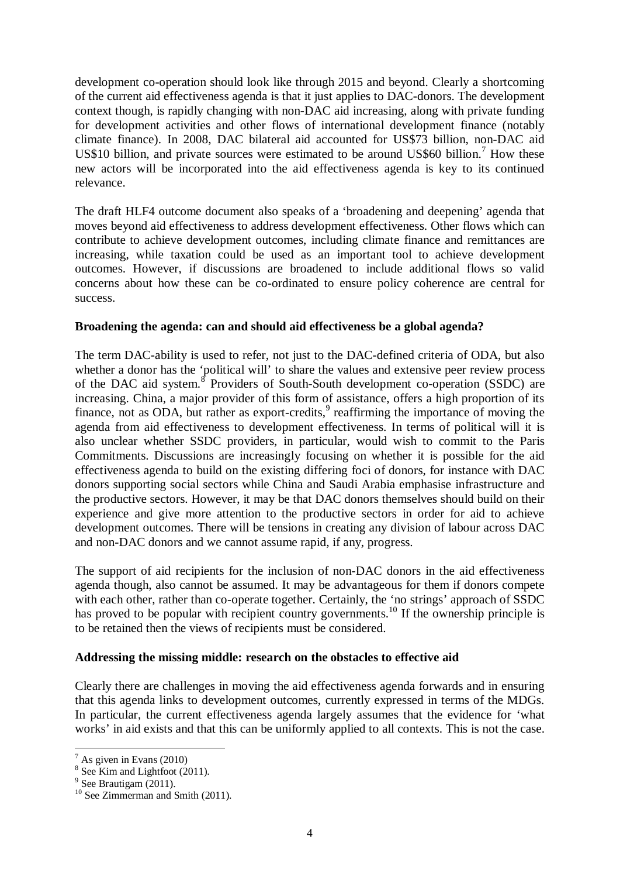development co-operation should look like through 2015 and beyond. Clearly a shortcoming of the current aid effectiveness agenda is that it just applies to DAC-donors. The development context though, is rapidly changing with non-DAC aid increasing, along with private funding for development activities and other flows of international development finance (notably climate finance). In 2008, DAC bilateral aid accounted for US\$73 billion, non-DAC aid US\$10 billion, and private sources were estimated to be around US\$60 billion.<sup>7</sup> How these new actors will be incorporated into the aid effectiveness agenda is key to its continued relevance.

The draft HLF4 outcome document also speaks of a 'broadening and deepening' agenda that moves beyond aid effectiveness to address development effectiveness. Other flows which can contribute to achieve development outcomes, including climate finance and remittances are increasing, while taxation could be used as an important tool to achieve development outcomes. However, if discussions are broadened to include additional flows so valid concerns about how these can be co-ordinated to ensure policy coherence are central for success.

### **Broadening the agenda: can and should aid effectiveness be a global agenda?**

The term DAC-ability is used to refer, not just to the DAC-defined criteria of ODA, but also whether a donor has the 'political will' to share the values and extensive peer review process of the DAC aid system.<sup>8</sup> Providers of South-South development co-operation (SSDC) are increasing. China, a major provider of this form of assistance, offers a high proportion of its finance, not as ODA, but rather as export-credits, $9$  reaffirming the importance of moving the agenda from aid effectiveness to development effectiveness. In terms of political will it is also unclear whether SSDC providers, in particular, would wish to commit to the Paris Commitments. Discussions are increasingly focusing on whether it is possible for the aid effectiveness agenda to build on the existing differing foci of donors, for instance with DAC donors supporting social sectors while China and Saudi Arabia emphasise infrastructure and the productive sectors. However, it may be that DAC donors themselves should build on their experience and give more attention to the productive sectors in order for aid to achieve development outcomes. There will be tensions in creating any division of labour across DAC and non-DAC donors and we cannot assume rapid, if any, progress.

The support of aid recipients for the inclusion of non-DAC donors in the aid effectiveness agenda though, also cannot be assumed. It may be advantageous for them if donors compete with each other, rather than co-operate together. Certainly, the 'no strings' approach of SSDC has proved to be popular with recipient country governments.<sup>10</sup> If the ownership principle is to be retained then the views of recipients must be considered.

### **Addressing the missing middle: research on the obstacles to effective aid**

Clearly there are challenges in moving the aid effectiveness agenda forwards and in ensuring that this agenda links to development outcomes, currently expressed in terms of the MDGs. In particular, the current effectiveness agenda largely assumes that the evidence for 'what works' in aid exists and that this can be uniformly applied to all contexts. This is not the case.

  $7$  As given in Evans (2010)

<sup>&</sup>lt;sup>8</sup> See Kim and Lightfoot (2011).

<sup>&</sup>lt;sup>9</sup> See Brautigam (2011).

 $10$  See Zimmerman and Smith (2011).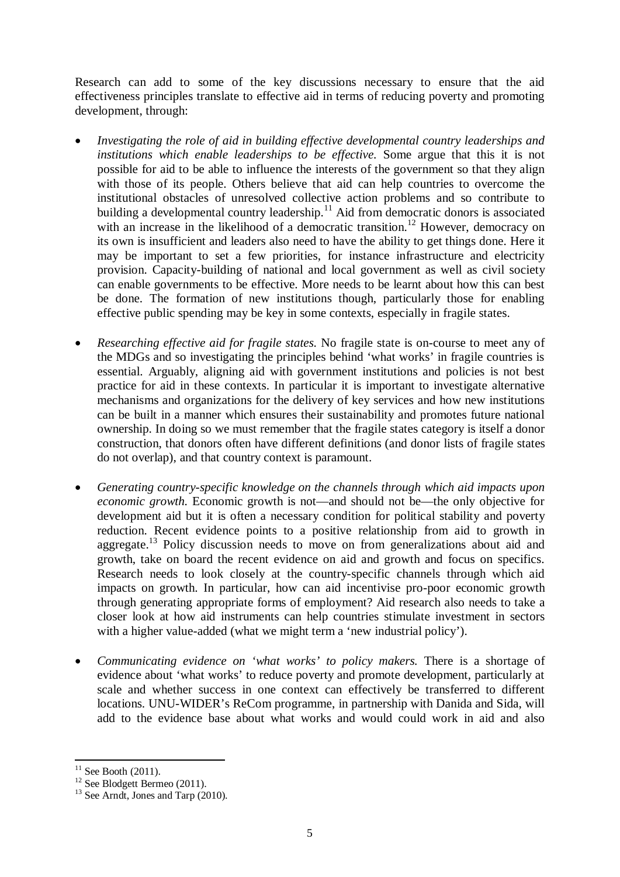Research can add to some of the key discussions necessary to ensure that the aid effectiveness principles translate to effective aid in terms of reducing poverty and promoting development, through:

- *Investigating the role of aid in building effective developmental country leaderships and institutions which enable leaderships to be effective.* Some argue that this it is not possible for aid to be able to influence the interests of the government so that they align with those of its people. Others believe that aid can help countries to overcome the institutional obstacles of unresolved collective action problems and so contribute to building a developmental country leadership.<sup>11</sup> Aid from democratic donors is associated with an increase in the likelihood of a democratic transition.<sup>12</sup> However, democracy on its own is insufficient and leaders also need to have the ability to get things done. Here it may be important to set a few priorities, for instance infrastructure and electricity provision. Capacity-building of national and local government as well as civil society can enable governments to be effective. More needs to be learnt about how this can best be done. The formation of new institutions though, particularly those for enabling effective public spending may be key in some contexts, especially in fragile states.
- *Researching effective aid for fragile states.* No fragile state is on-course to meet any of the MDGs and so investigating the principles behind 'what works' in fragile countries is essential. Arguably, aligning aid with government institutions and policies is not best practice for aid in these contexts. In particular it is important to investigate alternative mechanisms and organizations for the delivery of key services and how new institutions can be built in a manner which ensures their sustainability and promotes future national ownership. In doing so we must remember that the fragile states category is itself a donor construction, that donors often have different definitions (and donor lists of fragile states do not overlap), and that country context is paramount.
- *Generating country-specific knowledge on the channels through which aid impacts upon economic growth.* Economic growth is not—and should not be—the only objective for development aid but it is often a necessary condition for political stability and poverty reduction. Recent evidence points to a positive relationship from aid to growth in aggregate.<sup>13</sup> Policy discussion needs to move on from generalizations about aid and growth, take on board the recent evidence on aid and growth and focus on specifics. Research needs to look closely at the country-specific channels through which aid impacts on growth. In particular, how can aid incentivise pro-poor economic growth through generating appropriate forms of employment? Aid research also needs to take a closer look at how aid instruments can help countries stimulate investment in sectors with a higher value-added (what we might term a 'new industrial policy').
- *Communicating evidence on 'what works' to policy makers.* There is a shortage of evidence about 'what works' to reduce poverty and promote development, particularly at scale and whether success in one context can effectively be transferred to different locations. UNU-WIDER's ReCom programme, in partnership with Danida and Sida, will add to the evidence base about what works and would could work in aid and also

 $11$  See Booth (2011).

 $12$  See Blodgett Bermeo (2011).

<sup>&</sup>lt;sup>13</sup> See Arndt, Jones and Tarp  $(2010)$ .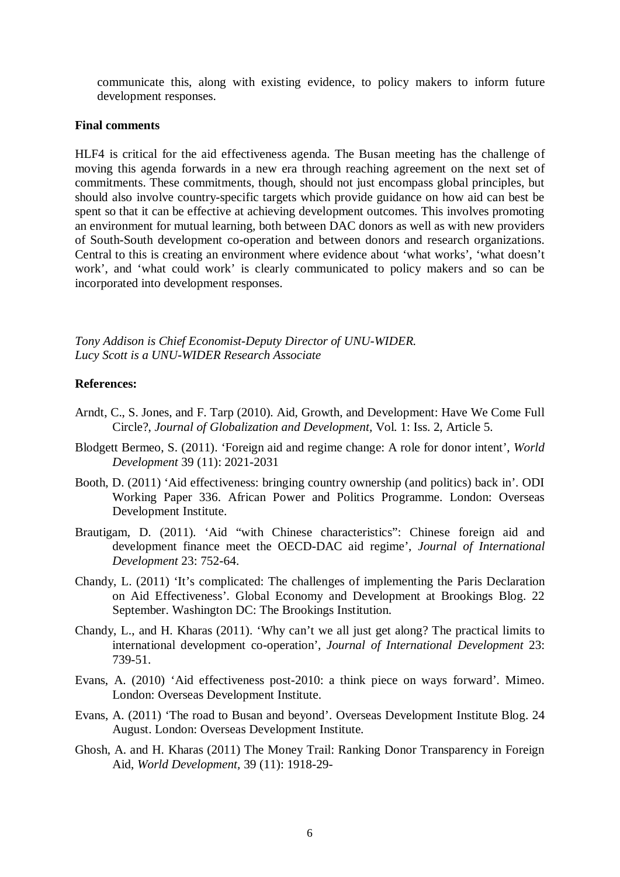communicate this, along with existing evidence, to policy makers to inform future development responses.

### **Final comments**

HLF4 is critical for the aid effectiveness agenda. The Busan meeting has the challenge of moving this agenda forwards in a new era through reaching agreement on the next set of commitments. These commitments, though, should not just encompass global principles, but should also involve country-specific targets which provide guidance on how aid can best be spent so that it can be effective at achieving development outcomes. This involves promoting an environment for mutual learning, both between DAC donors as well as with new providers of South-South development co-operation and between donors and research organizations. Central to this is creating an environment where evidence about 'what works', 'what doesn't work', and 'what could work' is clearly communicated to policy makers and so can be incorporated into development responses.

*Tony Addison is Chief Economist-Deputy Director of UNU-WIDER. Lucy Scott is a UNU-WIDER Research Associate* 

### **References:**

- Arndt, C., S. Jones, and F. Tarp (2010). Aid, Growth, and Development: Have We Come Full Circle?, *Journal of Globalization and Development,* Vol. 1: Iss. 2, Article 5.
- Blodgett Bermeo, S. (2011). 'Foreign aid and regime change: A role for donor intent', *World Development* 39 (11): 2021-2031
- Booth, D. (2011) 'Aid effectiveness: bringing country ownership (and politics) back in'. ODI Working Paper 336. African Power and Politics Programme. London: Overseas Development Institute.
- Brautigam, D. (2011). 'Aid "with Chinese characteristics": Chinese foreign aid and development finance meet the OECD-DAC aid regime', *Journal of International Development* 23: 752-64.
- Chandy, L. (2011) 'It's complicated: The challenges of implementing the Paris Declaration on Aid Effectiveness'. Global Economy and Development at Brookings Blog. 22 September. Washington DC: The Brookings Institution.
- Chandy, L., and H. Kharas (2011). 'Why can't we all just get along? The practical limits to international development co-operation', *Journal of International Development* 23: 739-51.
- Evans, A. (2010) 'Aid effectiveness post-2010: a think piece on ways forward'. Mimeo. London: Overseas Development Institute.
- Evans, A. (2011) 'The road to Busan and beyond'. Overseas Development Institute Blog. 24 August. London: Overseas Development Institute.
- Ghosh, A. and H. Kharas (2011) The Money Trail: Ranking Donor Transparency in Foreign Aid, *World Development,* 39 (11): 1918-29-